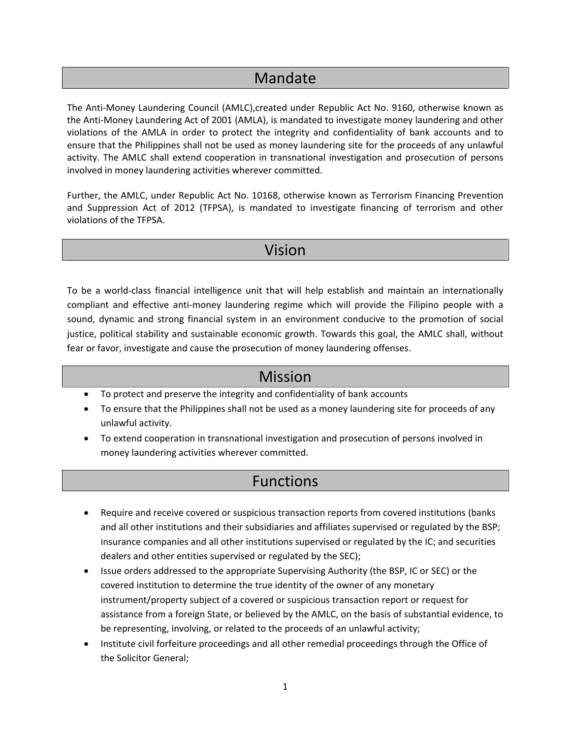## Mandate

The Anti‐Money Laundering Council (AMLC),created under Republic Act No. 9160, otherwise known as the Anti‐Money Laundering Act of 2001 (AMLA), is mandated to investigate money laundering and other violations of the AMLA in order to protect the integrity and confidentiality of bank accounts and to ensure that the Philippines shall not be used as money laundering site for the proceeds of any unlawful activity. The AMLC shall extend cooperation in transnational investigation and prosecution of persons involved in money laundering activities wherever committed.

Further, the AMLC, under Republic Act No. 10168, otherwise known as Terrorism Financing Prevention and Suppression Act of 2012 (TFPSA), is mandated to investigate financing of terrorism and other violations of the TFPSA.

## Vision

To be a world‐class financial intelligence unit that will help establish and maintain an internationally compliant and effective anti‐money laundering regime which will provide the Filipino people with a sound, dynamic and strong financial system in an environment conducive to the promotion of social justice, political stability and sustainable economic growth. Towards this goal, the AMLC shall, without fear or favor, investigate and cause the prosecution of money laundering offenses.

## Mission

- To protect and preserve the integrity and confidentiality of bank accounts
- To ensure that the Philippines shall not be used as a money laundering site for proceeds of any unlawful activity.
- To extend cooperation in transnational investigation and prosecution of persons involved in money laundering activities wherever committed.

## Functions

- Require and receive covered or suspicious transaction reports from covered institutions (banks and all other institutions and their subsidiaries and affiliates supervised or regulated by the BSP; insurance companies and all other institutions supervised or regulated by the IC; and securities dealers and other entities supervised or regulated by the SEC);
- Issue orders addressed to the appropriate Supervising Authority (the BSP, IC or SEC) or the covered institution to determine the true identity of the owner of any monetary instrument/property subject of a covered or suspicious transaction report or request for assistance from a foreign State, or believed by the AMLC, on the basis of substantial evidence, to be representing, involving, or related to the proceeds of an unlawful activity;
- Institute civil forfeiture proceedings and all other remedial proceedings through the Office of the Solicitor General;